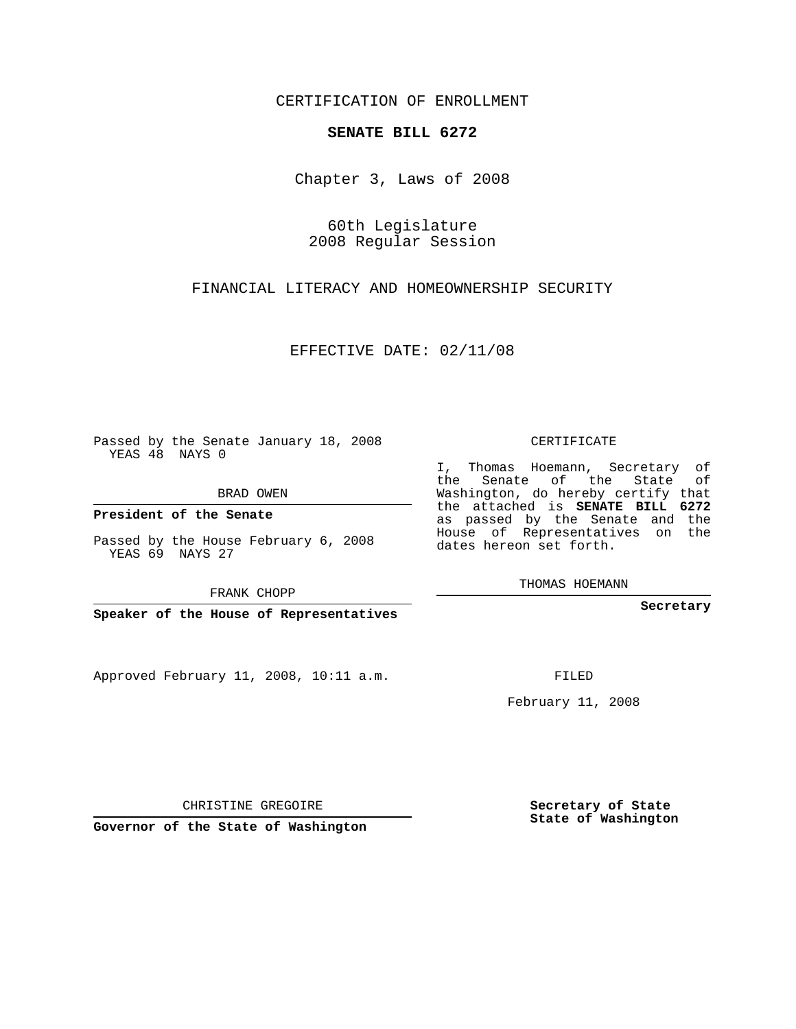CERTIFICATION OF ENROLLMENT

## **SENATE BILL 6272**

Chapter 3, Laws of 2008

60th Legislature 2008 Regular Session

FINANCIAL LITERACY AND HOMEOWNERSHIP SECURITY

EFFECTIVE DATE: 02/11/08

Passed by the Senate January 18, 2008 YEAS 48 NAYS 0

BRAD OWEN

**President of the Senate**

Passed by the House February 6, 2008 YEAS 69 NAYS 27

FRANK CHOPP

**Speaker of the House of Representatives**

Approved February 11, 2008, 10:11 a.m.

CERTIFICATE

I, Thomas Hoemann, Secretary of the Senate of the State of Washington, do hereby certify that the attached is **SENATE BILL 6272** as passed by the Senate and the House of Representatives on the dates hereon set forth.

THOMAS HOEMANN

**Secretary**

FILED

February 11, 2008

CHRISTINE GREGOIRE

**Governor of the State of Washington**

**Secretary of State State of Washington**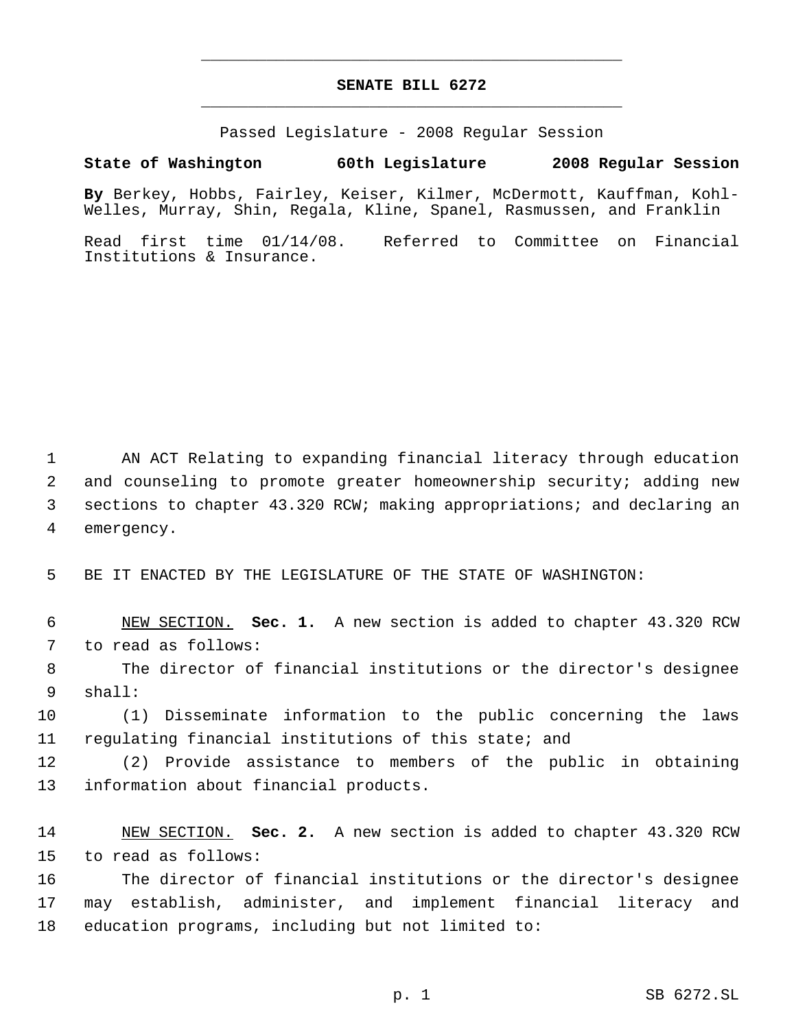## **SENATE BILL 6272** \_\_\_\_\_\_\_\_\_\_\_\_\_\_\_\_\_\_\_\_\_\_\_\_\_\_\_\_\_\_\_\_\_\_\_\_\_\_\_\_\_\_\_\_\_

\_\_\_\_\_\_\_\_\_\_\_\_\_\_\_\_\_\_\_\_\_\_\_\_\_\_\_\_\_\_\_\_\_\_\_\_\_\_\_\_\_\_\_\_\_

Passed Legislature - 2008 Regular Session

## **State of Washington 60th Legislature 2008 Regular Session**

**By** Berkey, Hobbs, Fairley, Keiser, Kilmer, McDermott, Kauffman, Kohl-Welles, Murray, Shin, Regala, Kline, Spanel, Rasmussen, and Franklin

Read first time 01/14/08. Referred to Committee on Financial Institutions & Insurance.

 AN ACT Relating to expanding financial literacy through education and counseling to promote greater homeownership security; adding new sections to chapter 43.320 RCW; making appropriations; and declaring an emergency.

BE IT ENACTED BY THE LEGISLATURE OF THE STATE OF WASHINGTON:

 NEW SECTION. **Sec. 1.** A new section is added to chapter 43.320 RCW to read as follows:

 The director of financial institutions or the director's designee shall:

 (1) Disseminate information to the public concerning the laws regulating financial institutions of this state; and

 (2) Provide assistance to members of the public in obtaining information about financial products.

 NEW SECTION. **Sec. 2.** A new section is added to chapter 43.320 RCW to read as follows:

 The director of financial institutions or the director's designee may establish, administer, and implement financial literacy and education programs, including but not limited to: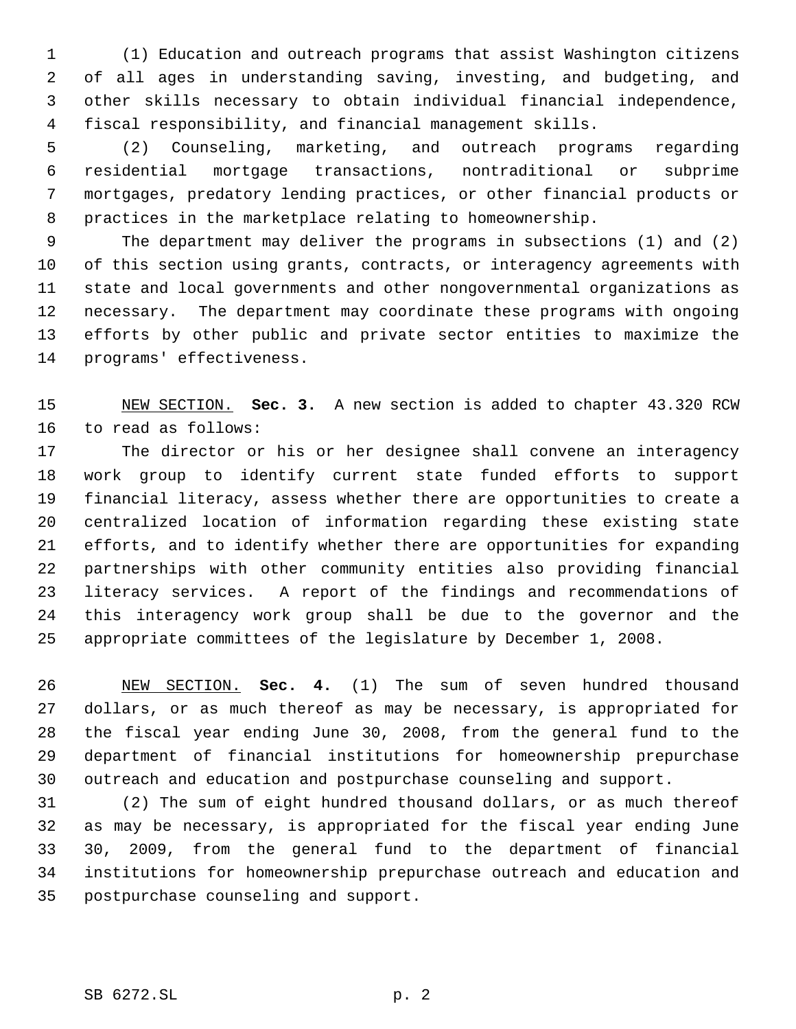(1) Education and outreach programs that assist Washington citizens of all ages in understanding saving, investing, and budgeting, and other skills necessary to obtain individual financial independence, fiscal responsibility, and financial management skills.

 (2) Counseling, marketing, and outreach programs regarding residential mortgage transactions, nontraditional or subprime mortgages, predatory lending practices, or other financial products or practices in the marketplace relating to homeownership.

 The department may deliver the programs in subsections (1) and (2) of this section using grants, contracts, or interagency agreements with state and local governments and other nongovernmental organizations as necessary. The department may coordinate these programs with ongoing efforts by other public and private sector entities to maximize the programs' effectiveness.

 NEW SECTION. **Sec. 3.** A new section is added to chapter 43.320 RCW to read as follows:

 The director or his or her designee shall convene an interagency work group to identify current state funded efforts to support financial literacy, assess whether there are opportunities to create a centralized location of information regarding these existing state efforts, and to identify whether there are opportunities for expanding partnerships with other community entities also providing financial literacy services. A report of the findings and recommendations of this interagency work group shall be due to the governor and the appropriate committees of the legislature by December 1, 2008.

 NEW SECTION. **Sec. 4.** (1) The sum of seven hundred thousand dollars, or as much thereof as may be necessary, is appropriated for the fiscal year ending June 30, 2008, from the general fund to the department of financial institutions for homeownership prepurchase outreach and education and postpurchase counseling and support.

 (2) The sum of eight hundred thousand dollars, or as much thereof as may be necessary, is appropriated for the fiscal year ending June 30, 2009, from the general fund to the department of financial institutions for homeownership prepurchase outreach and education and postpurchase counseling and support.